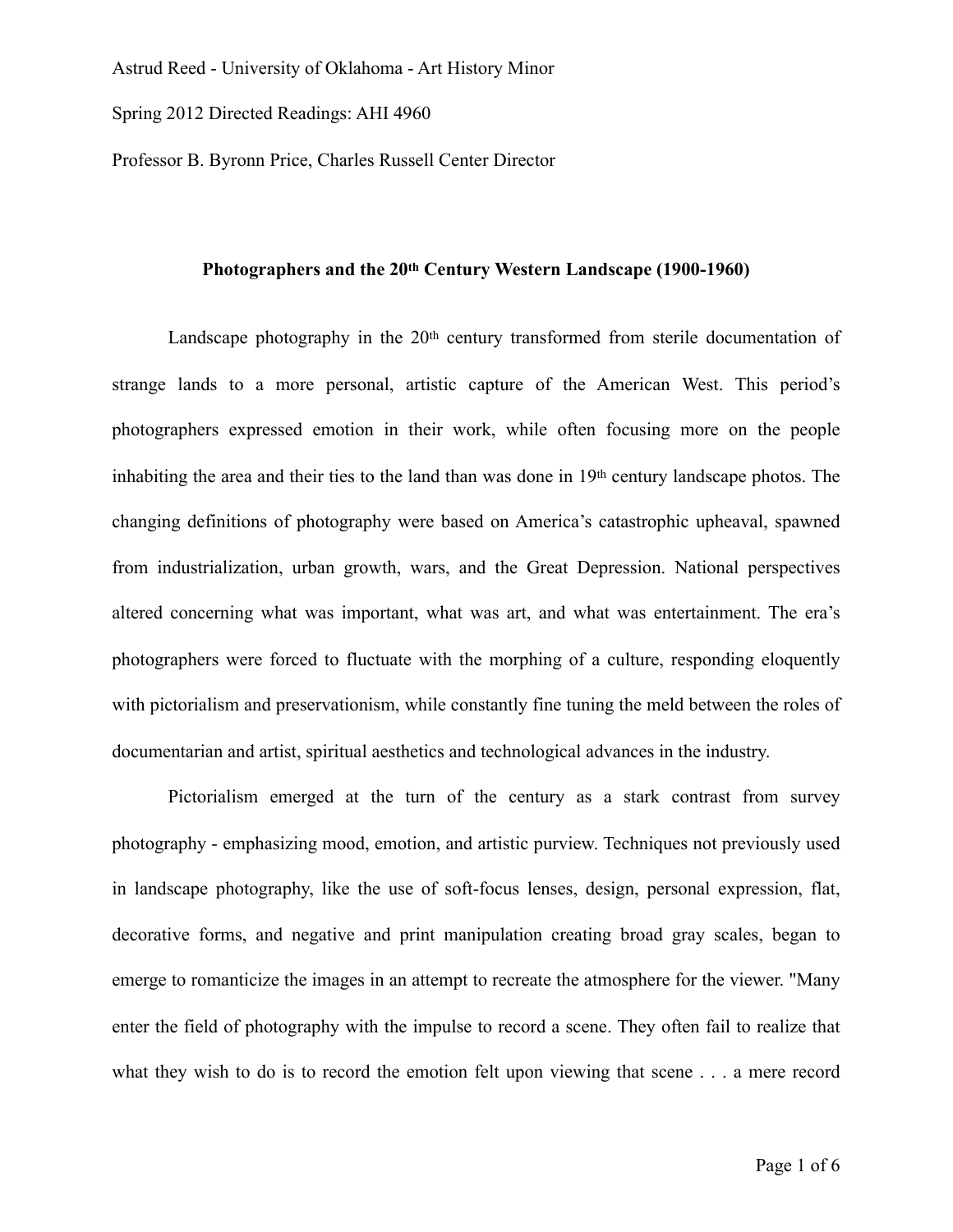Spring 2012 Directed Readings: AHI 4960

Professor B. Byronn Price, Charles Russell Center Director

## **Photographers and the 20th Century Western Landscape (1900-1960)**

Landscape photography in the 20<sup>th</sup> century transformed from sterile documentation of strange lands to a more personal, artistic capture of the American West. This period's photographers expressed emotion in their work, while often focusing more on the people inhabiting the area and their ties to the land than was done in 19th century landscape photos. The changing definitions of photography were based on America's catastrophic upheaval, spawned from industrialization, urban growth, wars, and the Great Depression. National perspectives altered concerning what was important, what was art, and what was entertainment. The era's photographers were forced to fluctuate with the morphing of a culture, responding eloquently with pictorialism and preservationism, while constantly fine tuning the meld between the roles of documentarian and artist, spiritual aesthetics and technological advances in the industry.

Pictorialism emerged at the turn of the century as a stark contrast from survey photography - emphasizing mood, emotion, and artistic purview. Techniques not previously used in landscape photography, like the use of soft-focus lenses, design, personal expression, flat, decorative forms, and negative and print manipulation creating broad gray scales, began to emerge to romanticize the images in an attempt to recreate the atmosphere for the viewer. "Many enter the field of photography with the impulse to record a scene. They often fail to realize that what they wish to do is to record the emotion felt upon viewing that scene . . . a mere record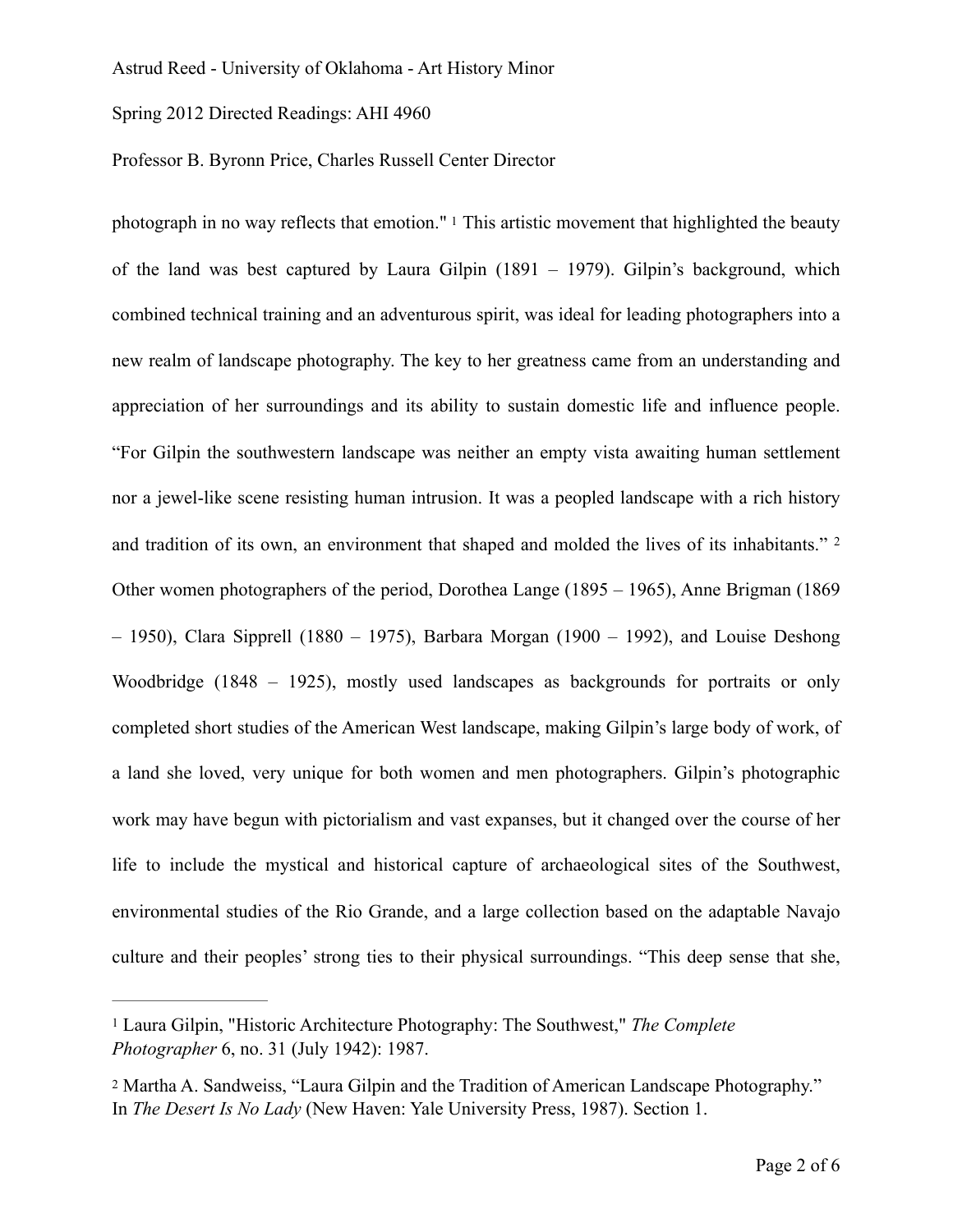Spring 2012 Directed Readings: AHI 4960

## Professor B. Byronn Price, Charles Russell Center Director

<span id="page-1-3"></span><span id="page-1-2"></span>photograph in no way reflects that emotion." [1](#page-1-0) This artistic movement that highlighted the beauty of the land was best captured by Laura Gilpin (1891 – 1979). Gilpin's background, which combined technical training and an adventurous spirit, was ideal for leading photographers into a new realm of landscape photography. The key to her greatness came from an understanding and appreciation of her surroundings and its ability to sustain domestic life and influence people. "For Gilpin the southwestern landscape was neither an empty vista awaiting human settlement nor a jewel-like scene resisting human intrusion. It was a peopled landscape with a rich history and tradition of its own, an environment that shaped and molded the lives of its inhabitants." [2](#page-1-1) Other women photographers of the period, Dorothea Lange (1895 – 1965), Anne Brigman (1869 – 1950), Clara Sipprell (1880 – 1975), Barbara Morgan (1900 – 1992), and Louise Deshong Woodbridge (1848 – 1925), mostly used landscapes as backgrounds for portraits or only completed short studies of the American West landscape, making Gilpin's large body of work, of a land she loved, very unique for both women and men photographers. Gilpin's photographic work may have begun with pictorialism and vast expanses, but it changed over the course of her life to include the mystical and historical capture of archaeological sites of the Southwest, environmental studies of the Rio Grande, and a large collection based on the adaptable Navajo culture and their peoples' strong ties to their physical surroundings. "This deep sense that she,

<span id="page-1-0"></span><sup>&</sup>lt;sup>[1](#page-1-2)</sup> Laura Gilpin, "Historic Architecture Photography: The Southwest," The Complete *Photographer* 6, no. 31 (July 1942): 1987.

<span id="page-1-1"></span>[<sup>2</sup>](#page-1-3) Martha A. Sandweiss, "Laura Gilpin and the Tradition of American Landscape Photography." In *The Desert Is No Lady* (New Haven: Yale University Press, 1987). Section 1.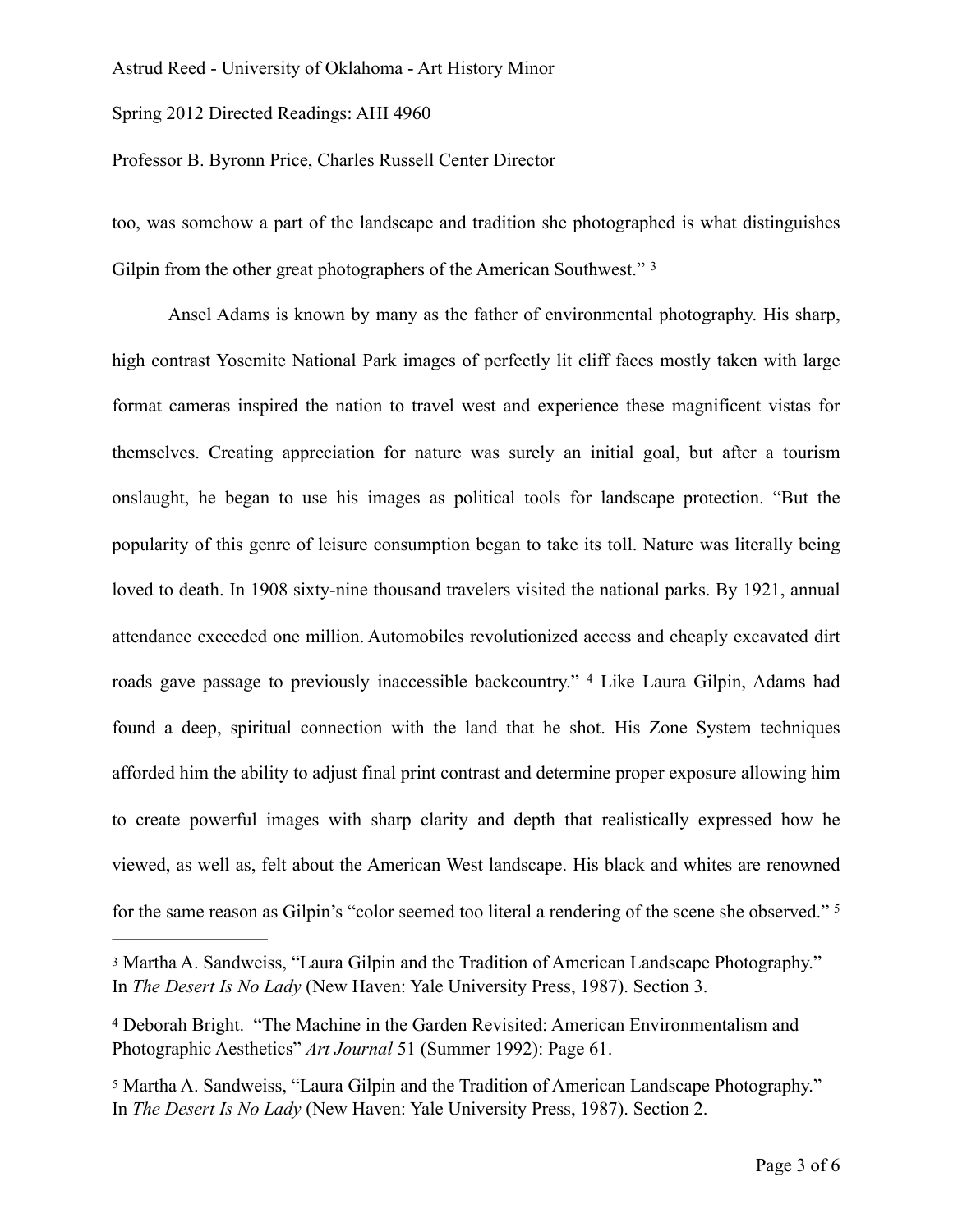Spring 2012 Directed Readings: AHI 4960

Professor B. Byronn Price, Charles Russell Center Director

<span id="page-2-3"></span>too, was somehow a part of the landscape and tradition she photographed is what distinguishes Gilpin from the other great photographers of the American Southwest." <sup>[3](#page-2-0)</sup>

Ansel Adams is known by many as the father of environmental photography. His sharp, high contrast Yosemite National Park images of perfectly lit cliff faces mostly taken with large format cameras inspired the nation to travel west and experience these magnificent vistas for themselves. Creating appreciation for nature was surely an initial goal, but after a tourism onslaught, he began to use his images as political tools for landscape protection. "But the popularity of this genre of leisure consumption began to take its toll. Nature was literally being loved to death. In 1908 sixty-nine thousand travelers visited the national parks. By 1921, annual attendance exceeded one million. Automobiles revolutionized access and cheaply excavated dirt roads gave passage to previously inaccessible backcountry." <sup>[4](#page-2-1)</sup> Like Laura Gilpin, Adams had found a deep, spiritual connection with the land that he shot. His Zone System techniques afforded him the ability to adjust final print contrast and determine proper exposure allowing him to create powerful images with sharp clarity and depth that realistically expressed how he viewed, as well as, felt about the American West landscape. His black and whites are renowned for the same reason as Gilpin's "color seemed too literal a rendering of the scene she observed." [5](#page-2-2)

<span id="page-2-5"></span><span id="page-2-4"></span><span id="page-2-0"></span>[3](#page-2-3) Martha A. Sandweiss, "Laura Gilpin and the Tradition of American Landscape Photography." In *The Desert Is No Lady* (New Haven: Yale University Press, 1987). Section 3.

<span id="page-2-1"></span> Deborah Bright. "The Machine in the Garden Revisited: American Environmentalism and [4](#page-2-4) Photographic Aesthetics" *Art Journal* 51 (Summer 1992): Page 61.

<span id="page-2-2"></span>[5](#page-2-5) Martha A. Sandweiss, "Laura Gilpin and the Tradition of American Landscape Photography." In *The Desert Is No Lady* (New Haven: Yale University Press, 1987). Section 2.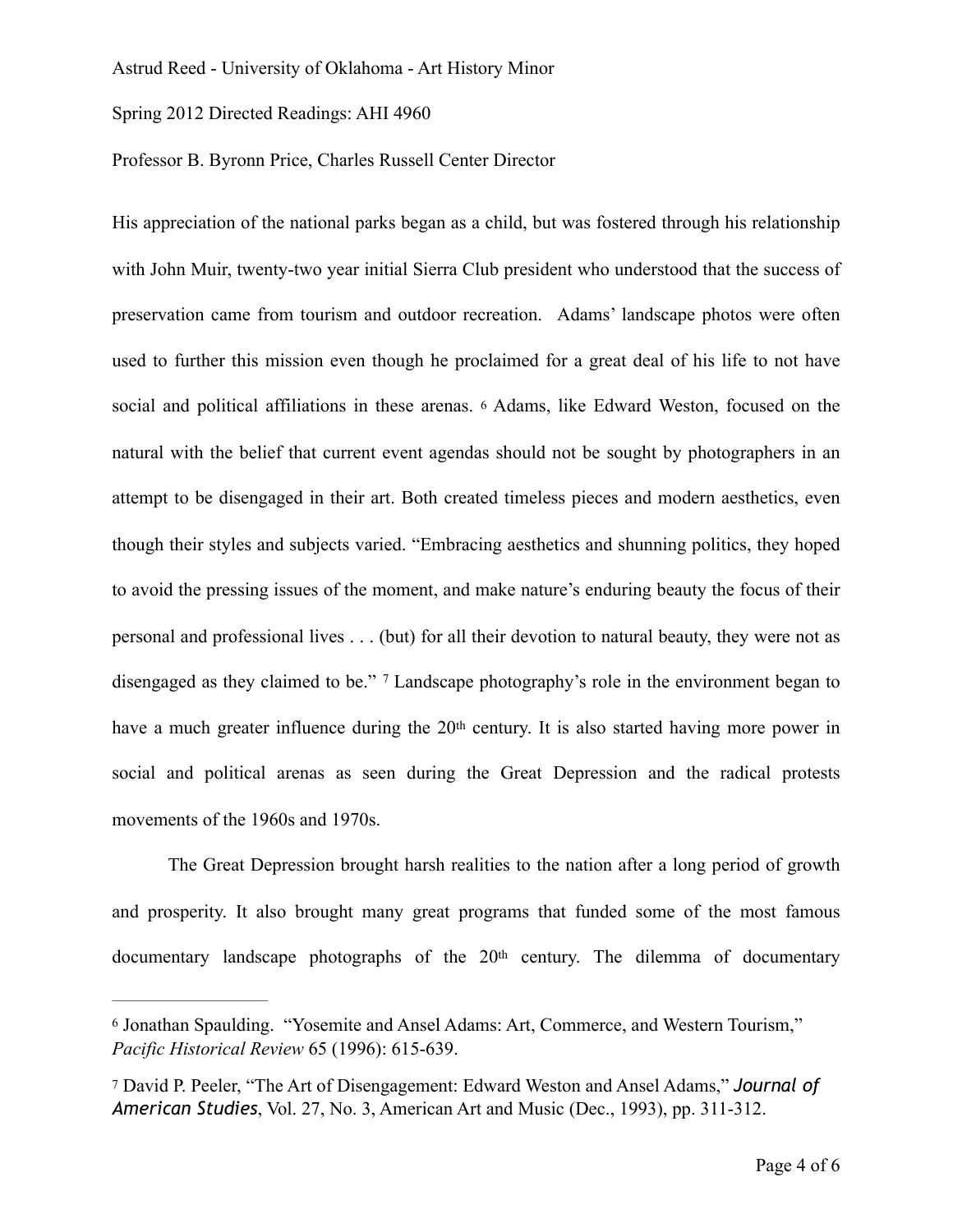Spring 2012 Directed Readings: AHI 4960

## Professor B. Byronn Price, Charles Russell Center Director

<span id="page-3-2"></span>His appreciation of the national parks began as a child, but was fostered through his relationship with John Muir, twenty-two year initial Sierra Club president who understood that the success of preservation came from tourism and outdoor recreation. Adams' landscape photos were often used to further this mission even though he proclaimed for a great deal of his life to not have social and political affiliations in these arenas. [6](#page-3-0) Adams, like Edward Weston, focused on the natural with the belief that current event agendas should not be sought by photographers in an attempt to be disengaged in their art. Both created timeless pieces and modern aesthetics, even though their styles and subjects varied. "Embracing aesthetics and shunning politics, they hoped to avoid the pressing issues of the moment, and make nature's enduring beauty the focus of their personal and professional lives . . . (but) for all their devotion to natural beauty, they were not as disengaged as they claimed to be." [7](#page-3-1) Landscape photography's role in the environment began to have a much greater influence during the 20<sup>th</sup> century. It is also started having more power in social and political arenas as seen during the Great Depression and the radical protests movements of the 1960s and 1970s.

<span id="page-3-3"></span>The Great Depression brought harsh realities to the nation after a long period of growth and prosperity. It also brought many great programs that funded some of the most famous documentary landscape photographs of the 20<sup>th</sup> century. The dilemma of documentary

<span id="page-3-0"></span><sup>&</sup>lt;sup>[6](#page-3-2)</sup> Jonathan Spaulding. "Yosemite and Ansel Adams: Art, Commerce, and Western Tourism," *Pacific Historical Review* 65 (1996): 615-639.

<span id="page-3-1"></span>[<sup>7</sup>](#page-3-3) David P. Peeler, "The Art of Disengagement: Edward Weston and Ansel Adams," *Journal of American Studies*, Vol. 27, No. 3, American Art and Music (Dec., 1993), pp. 311-312.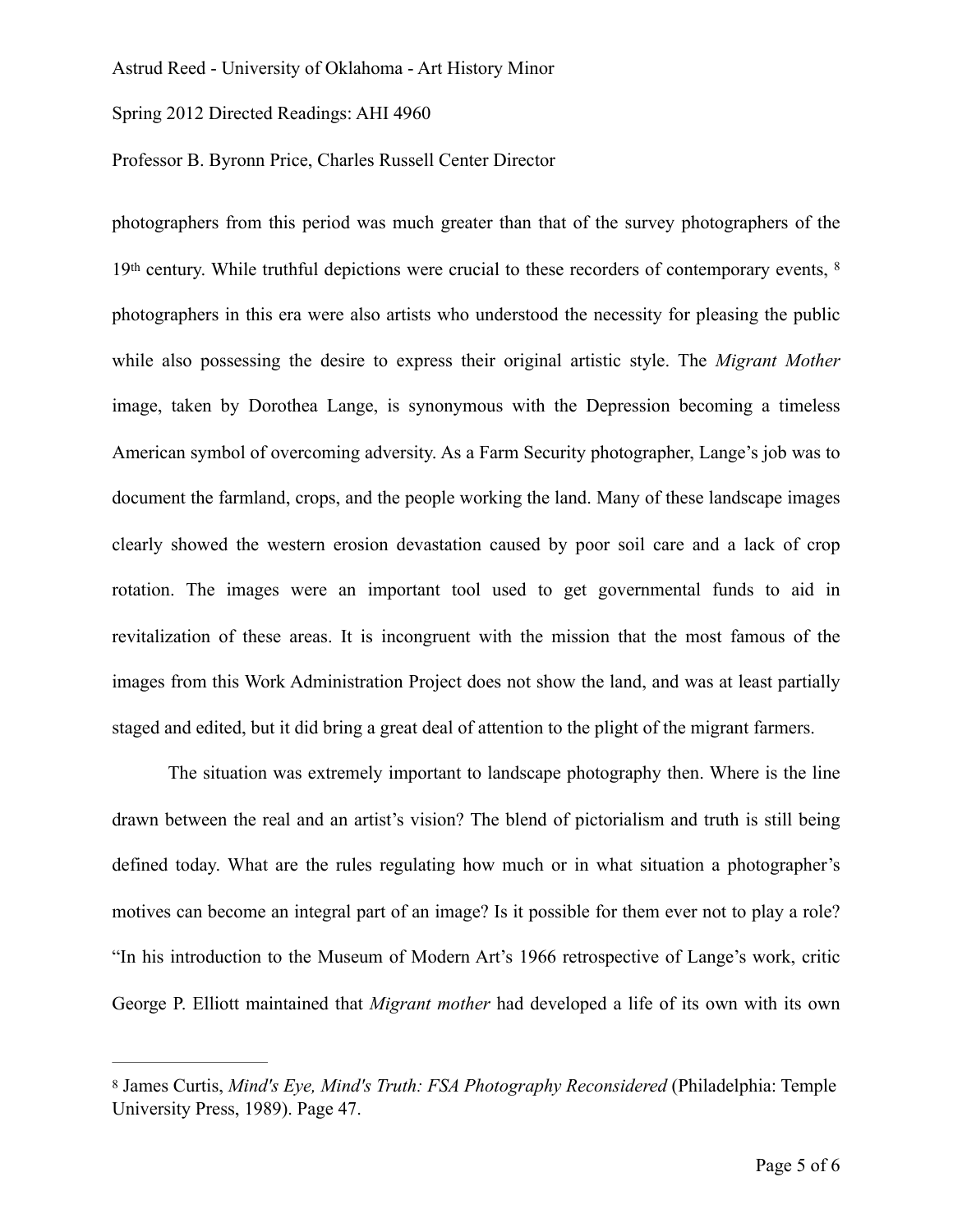Spring 2012 Directed Readings: AHI 4960

Professor B. Byronn Price, Charles Russell Center Director

<span id="page-4-1"></span>photographers from this period was much greater than that of the survey photographers of the 19<sup>th</sup> century. While truthful depictions were crucial to these recorders of contemporary events, <sup>[8](#page-4-0)</sup> photographers in this era were also artists who understood the necessity for pleasing the public while also possessing the desire to express their original artistic style. The *Migrant Mother* image, taken by Dorothea Lange, is synonymous with the Depression becoming a timeless American symbol of overcoming adversity. As a Farm Security photographer, Lange's job was to document the farmland, crops, and the people working the land. Many of these landscape images clearly showed the western erosion devastation caused by poor soil care and a lack of crop rotation. The images were an important tool used to get governmental funds to aid in revitalization of these areas. It is incongruent with the mission that the most famous of the images from this Work Administration Project does not show the land, and was at least partially staged and edited, but it did bring a great deal of attention to the plight of the migrant farmers.

The situation was extremely important to landscape photography then. Where is the line drawn between the real and an artist's vision? The blend of pictorialism and truth is still being defined today. What are the rules regulating how much or in what situation a photographer's motives can become an integral part of an image? Is it possible for them ever not to play a role? "In his introduction to the Museum of Modern Art's 1966 retrospective of Lange's work, critic George P. Elliott maintained that *Migrant mother* had developed a life of its own with its own

<span id="page-4-0"></span>[<sup>8</sup>](#page-4-1) James Curtis, *Mind's Eye, Mind's Truth: FSA Photography Reconsidered* (Philadelphia: Temple University Press, 1989). Page 47.